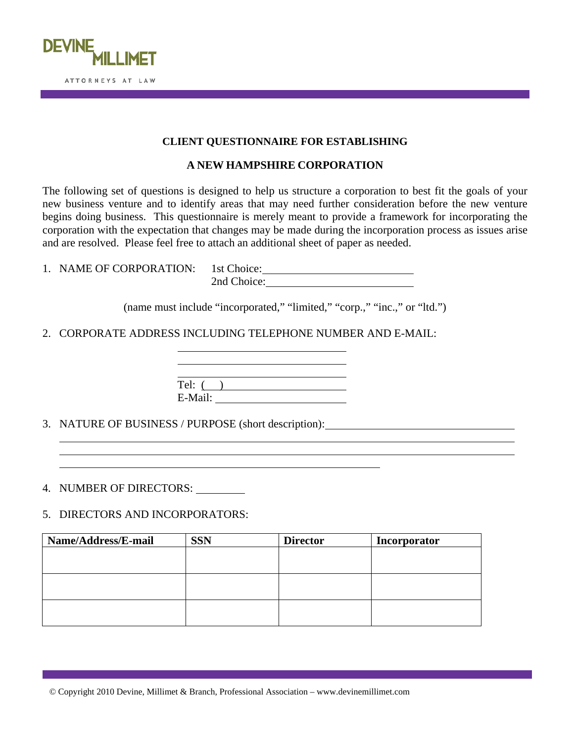

## **CLIENT QUESTIONNAIRE FOR ESTABLISHING**

## **A NEW HAMPSHIRE CORPORATION**

The following set of questions is designed to help us structure a corporation to best fit the goals of your new business venture and to identify areas that may need further consideration before the new venture begins doing business. This questionnaire is merely meant to provide a framework for incorporating the corporation with the expectation that changes may be made during the incorporation process as issues arise and are resolved. Please feel free to attach an additional sheet of paper as needed.

| 1. NAME OF CORPORATION: 1st Choice: |             |
|-------------------------------------|-------------|
|                                     | 2nd Choice: |

(name must include "incorporated," "limited," "corp.," "inc.," or "ltd.")

2. CORPORATE ADDRESS INCLUDING TELEPHONE NUMBER AND E-MAIL:

| Tel: (  |  |  |  |
|---------|--|--|--|
| E-Mail: |  |  |  |

3. NATURE OF BUSINESS / PURPOSE (short description):

 $\overline{a}$ 

4. NUMBER OF DIRECTORS:

 $\overline{a}$ 

 $\overline{a}$ 

5. DIRECTORS AND INCORPORATORS:

| Name/Address/E-mail | <b>SSN</b> | <b>Director</b> | Incorporator |
|---------------------|------------|-----------------|--------------|
|                     |            |                 |              |
|                     |            |                 |              |
|                     |            |                 |              |
|                     |            |                 |              |
|                     |            |                 |              |
|                     |            |                 |              |

© Copyright 2010 Devine, Millimet & Branch, Professional Association – www.devinemillimet.com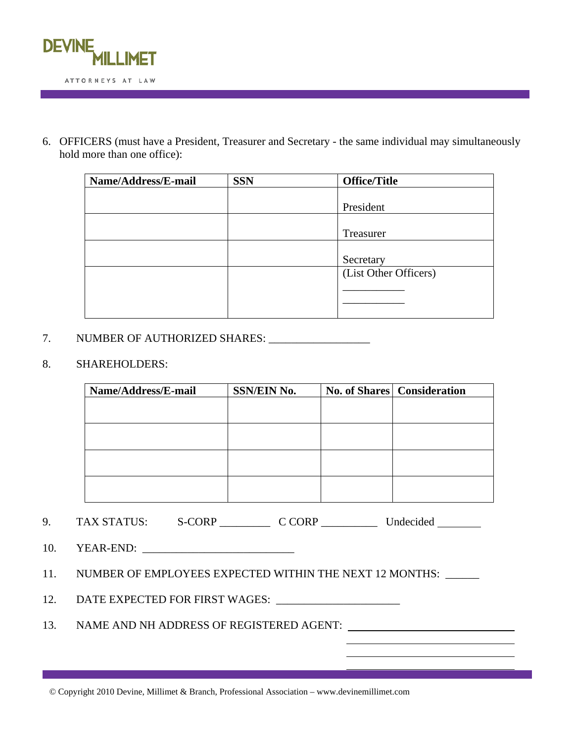

6. OFFICERS (must have a President, Treasurer and Secretary - the same individual may simultaneously hold more than one office):

| Name/Address/E-mail | <b>SSN</b> | <b>Office/Title</b>   |
|---------------------|------------|-----------------------|
|                     |            |                       |
|                     |            | President             |
|                     |            |                       |
|                     |            | Treasurer             |
|                     |            |                       |
|                     |            | Secretary             |
|                     |            | (List Other Officers) |
|                     |            |                       |
|                     |            |                       |
|                     |            |                       |

## 7. NUMBER OF AUTHORIZED SHARES: \_\_\_\_\_\_\_\_\_\_\_\_\_\_\_\_\_\_

## 8. SHAREHOLDERS:

| Name/Address/E-mail | <b>SSN/EIN No.</b> | No. of Shares Consideration |
|---------------------|--------------------|-----------------------------|
|                     |                    |                             |
|                     |                    |                             |
|                     |                    |                             |
|                     |                    |                             |
|                     |                    |                             |
|                     |                    |                             |
|                     |                    |                             |
|                     |                    |                             |

| TAX STATUS: | S-CORP | C CORP | Undecided |
|-------------|--------|--------|-----------|
|             |        |        |           |

10. YEAR-END:

11. NUMBER OF EMPLOYEES EXPECTED WITHIN THE NEXT 12 MONTHS: \_\_\_\_\_\_

12. DATE EXPECTED FOR FIRST WAGES: \_\_\_\_\_\_\_\_\_\_\_\_\_\_\_\_\_\_\_\_\_\_

13. NAME AND NH ADDRESS OF REGISTERED AGENT:

© Copyright 2010 Devine, Millimet & Branch, Professional Association – www.devinemillimet.com